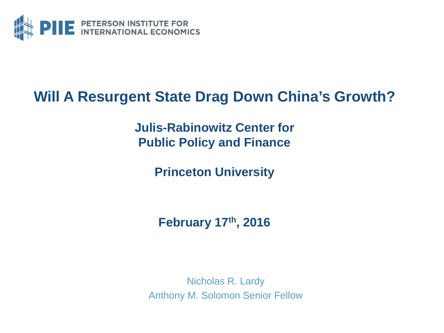

#### **Will A Resurgent State Drag Down China's Growth?**

**Julis-Rabinowitz Center for Public Policy and Finance**

**Princeton University**

**February 17th, 2016**

Nicholas R. Lardy Anthony M. Solomon Senior Fellow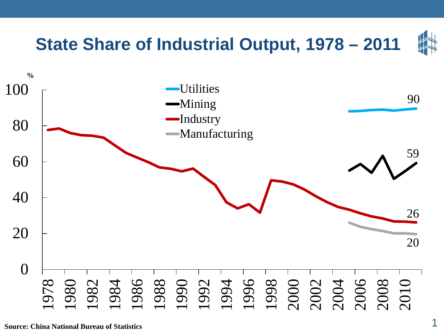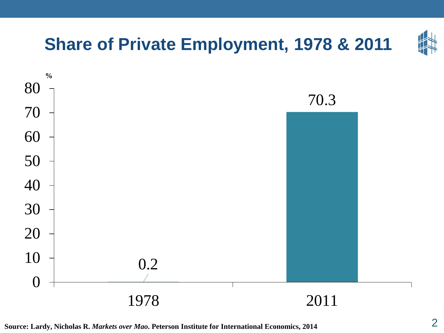

**Source: Lardy, Nicholas R.** *Markets over Mao***. Peterson Institute for International Economics, 2014** 2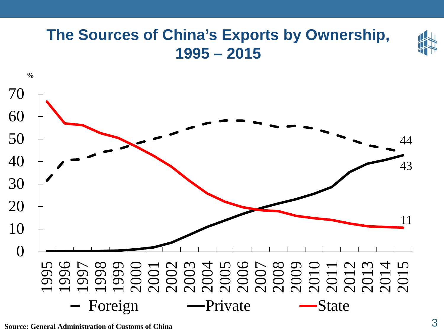#### **The Sources of China's Exports by Ownership, 1995 – 2015 %**  1999 2000<br>2003 2006 2000 2013<br>2003 2006 2000 2013<br>2003 2000 2000 2013

- Foreign - Private - State

**Source: General Administration of Customs of China** 3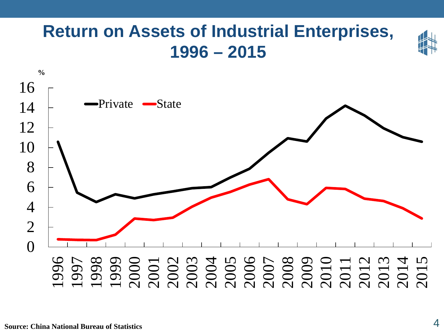## **Return on Assets of Industrial Enterprises, 1996 – 2015**

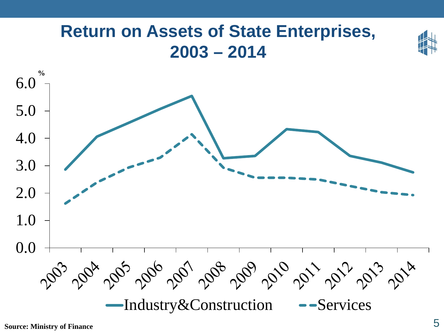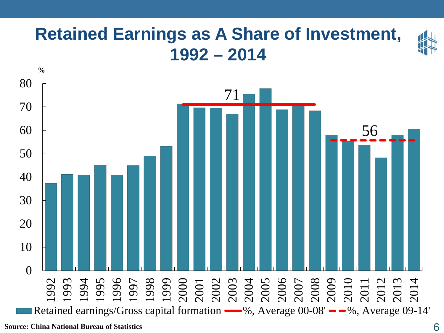#### **Retained Earnings as A Share of Investment, 1992 – 2014**



**Source: China National Bureau of Statistics** 6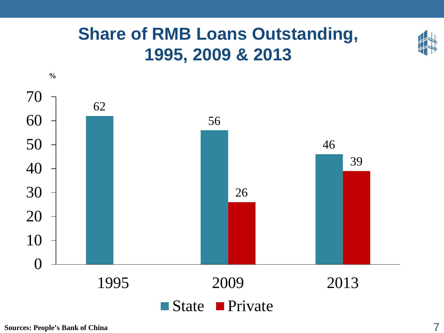### **Share of RMB Loans Outstanding, 1995, 2009 & 2013**

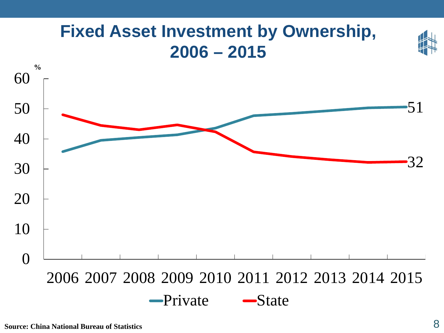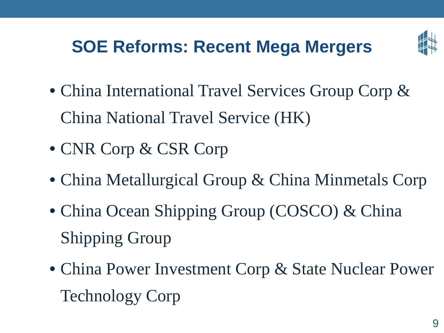# **SOE Reforms: Recent Mega Mergers**



- China International Travel Services Group Corp & China National Travel Service (HK)
- CNR Corp & CSR Corp
- China Metallurgical Group & China Minmetals Corp
- China Ocean Shipping Group (COSCO) & China Shipping Group
- China Power Investment Corp & State Nuclear Power Technology Corp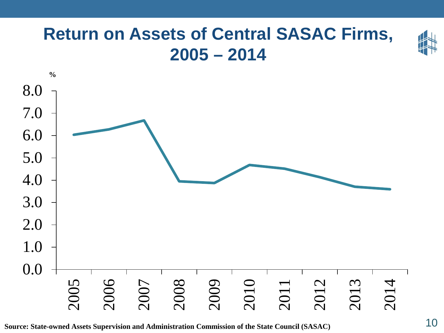#### **Return on Assets of Central SASAC Firms, 2005 – 2014**



**Source: State-owned Assets Supervision and Administration Commission of the State Council (SASAC)** 10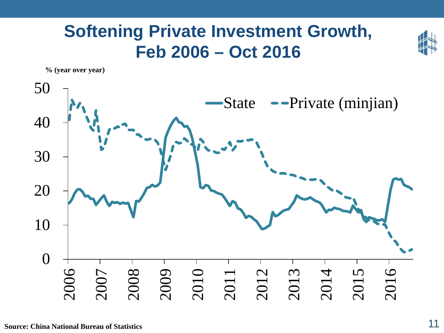#### **Softening Private Investment Growth, Feb 2006 – Oct 2016**

**% (year over year)** 

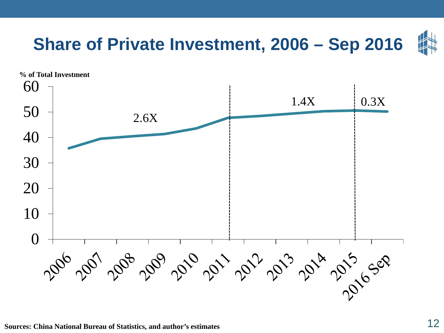

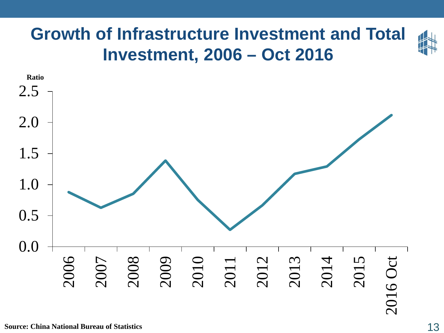#### **Growth of Infrastructure Investment and Total Investment, 2006 – Oct 2016**



**Source: China National Bureau of Statistics** 13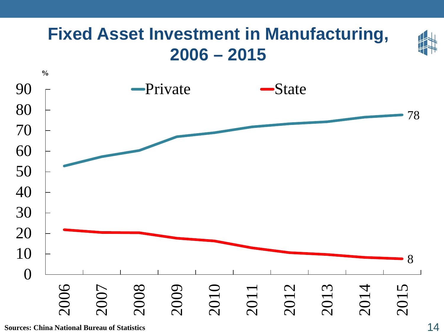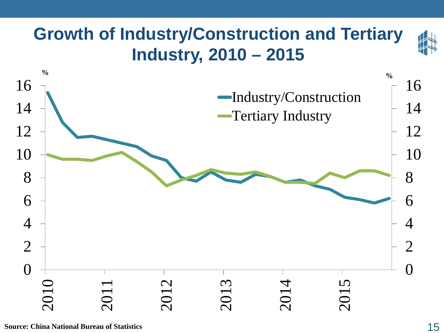## **Growth of Industry/Construction and Tertiary Industry, 2010 – 2015**

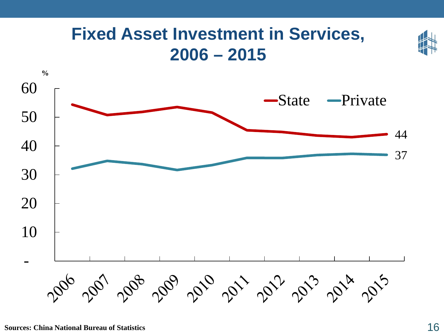

#### **Sources: China National Bureau of Statistics** 16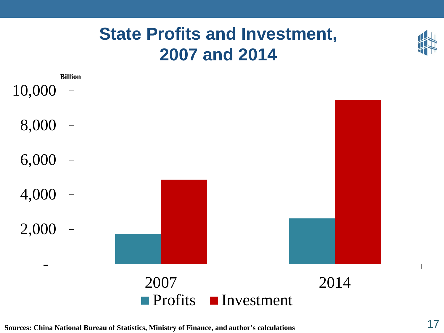#### **State Profits and Investment, 2007 and 2014**



**Sources: China National Bureau of Statistics, Ministry of Finance, and author's calculations** 17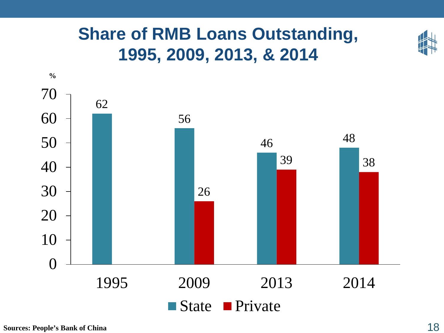## **Share of RMB Loans Outstanding, 1995, 2009, 2013, & 2014**

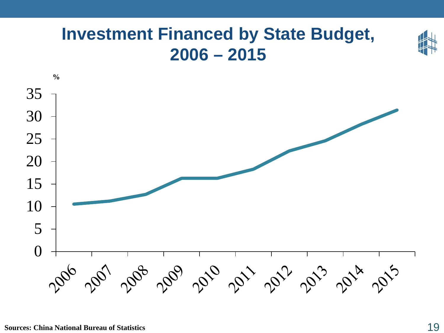#### **Investment Financed by State Budget, 2006 – 2015**